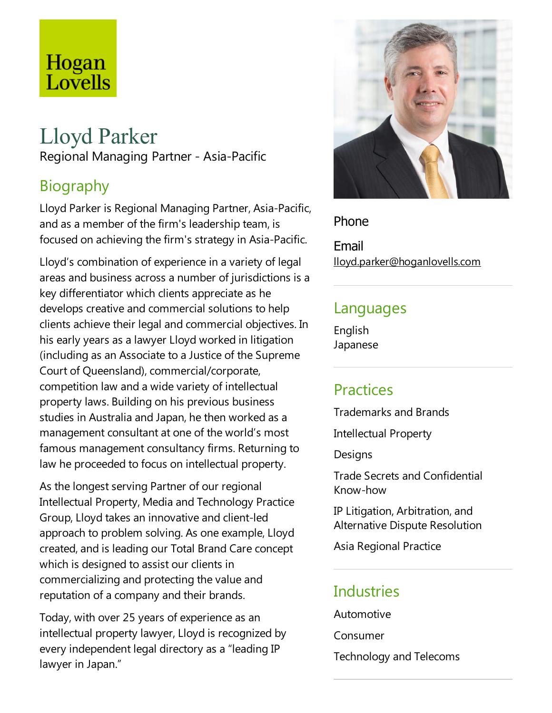# Hogan Lovells

# Lloyd Parker

Regional Managing Partner - Asia-Pacific

## Biography

Lloyd Parker is Regional Managing Partner, Asia-Pacific, and as a member of the firm's leadership team, is focused on achieving the firm's strategy in Asia-Pacific.

Lloyd's combination of experience in a variety of legal areas and business across a number of jurisdictions is a key differentiator which clients appreciate as he develops creative and commercial solutions to help clients achieve their legal and commercial objectives. In his early years as alawyer Lloyd worked in litigation (including as an Associate to a Justice of the Supreme Court of Queensland), commercial/corporate, competition law and a wide variety of intellectual property laws. Building on his previous business studies in Australia and Japan, he then worked as a management consultant at one of the world's most famous management consultancy firms. Returning to law he proceeded to focus on intellectual property.

As the longest serving Partner of our regional Intellectual Property, Media and Technology Practice Group, Lloyd takes an innovative and client-led approach to problem solving. As one example, Lloyd created, and is leading our Total Brand Care concept which is designed to assist our clients in commercializing and protecting the value and reputation of a company and their brands.

Today, with over 25 years of experience as an intellectual property lawyer, Lloyd is recognized by every independent legal directory as a"leading IP lawyer in Japan."



Phone

Email lloyd.parker@hoganlovells.com

#### Languages

English Japanese

## **Practices**

Trademarks and Brands

Intellectual Property

**Designs** 

Trade Secrets and Confidential Know-how

IP Litigation, Arbitration, and Alternative Dispute Resolution

Asia Regional Practice

#### **Industries**

Automotive Consumer Technology and Telecoms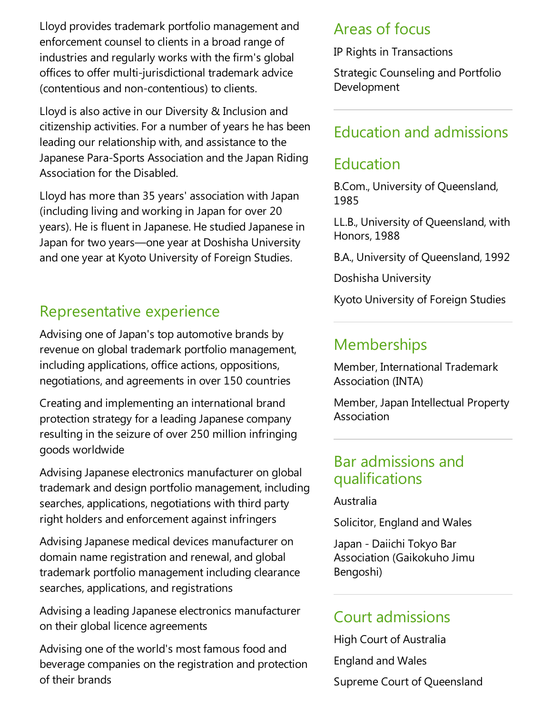Lloyd provides trademark portfolio management and enforcement counsel to clients in a broad range of industries and regularly works with the firm's global offices to offer multi-jurisdictional trademark advice (contentious and non-contentious) to clients.

Lloyd is also active in our Diversity & Inclusion and citizenship activities. For a number of years he has been leading our relationship with, and assistance to the Japanese Para-Sports Association and the Japan Riding Association for the Disabled.

Lloyd has more than 35 years' association with Japan (including living and working in Japan for over 20 years). He is fluent in Japanese. He studied Japanese in Japan for two years—one year at Doshisha University and one year at Kyoto University of Foreign Studies.

## Representative experience

Advising one of Japan's top automotive brands by revenue on global trademark portfolio management, including applications, office actions, oppositions, negotiations,and agreements in over 150 countries

Creating and implementing an international brand protection strategy for a leading Japanese company resulting in the seizure of over 250 million infringing goods worldwide

Advising Japanese electronics manufacturer on global trademark and design portfolio management, including searches, applications, negotiations with third party right holders and enforcement against infringers

Advising Japanese medical devices manufacturer on domain name registration and renewal, and global trademark portfolio management including clearance searches, applications, and registrations

Advising a leading Japanese electronics manufacturer on their global licence agreements

Advising one of the world's most famous food and beverage companies on the registration and protection of their brands

#### Areas of focus

IP Rights in Transactions

Strategic Counseling and Portfolio Development

#### Education and admissions

#### Education

B.Com., University of Queensland, 1985

LL.B., University of Queensland, with Honors, 1988

B.A., University of Queensland, 1992

Doshisha University

Kyoto University of Foreign Studies

## **Memberships**

Member, International Trademark Association (INTA)

Member, Japan Intellectual Property Association

#### Bar admissions and qualifications

Australia

Solicitor, England and Wales

Japan - Daiichi Tokyo Bar Association (Gaikokuho Jimu Bengoshi)

#### Court admissions

High Court of Australia England and Wales Supreme Court of Queensland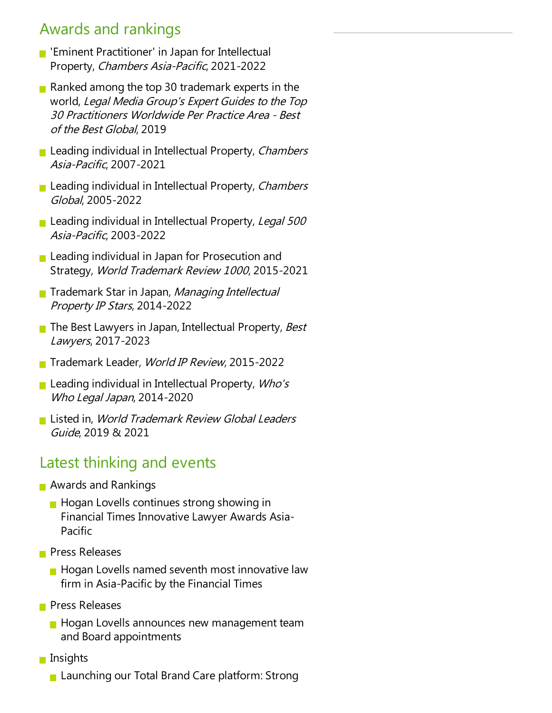#### Awards and rankings

- **F** 'Eminent Practitioner' in Japan for Intellectual Property, Chambers Asia-Pacific, 2021-2022
- Ranked among the top 30 trademark experts in the world, Legal Media Group's Expert Guides to the Top 30 Practitioners Worldwide Per Practice Area- Best of the Best Global, 2019
- **Leading individual in Intellectual Property, Chambers** Asia-Pacific, 2007-2021
- **Leading individual in Intellectual Property, Chambers** Global, 2005-2022
- Leading individual in Intellectual Property, Legal 500 Asia-Pacific, 2003-2022
- **Leading individual in Japan for Prosecution and** Strategy, World Trademark Review <sup>1000</sup>, 2015-2021
- **Trademark Star in Japan, Managing Intellectual** Property IP Stars, 2014-2022
- $\blacksquare$  The Best Lawyers in Japan, Intellectual Property, Best Lawyers, 2017-2023
- Trademark Leader, World IP Review, 2015-2022
- **Leading individual in Intellectual Property, Who's** Who Legal Japan, 2014-2020
- Listed in, World Trademark Review Global Leaders Guide, 2019 & 2021

## Latest thinking and events

- **Awards and Rankings** 
	- $\blacksquare$  Hogan Lovells continues strong showing in Financial Times Innovative Lawyer Awards Asia-Pacific
- **Press Releases** 
	- $\blacksquare$  Hogan Lovells named seventh most innovative law firm in Asia-Pacific by the Financial Times
- **Press Releases** 
	- **Hogan Lovells announces new management team** and Board appointments
- **n** Insights
	- **Launching our Total Brand Care platform: Strong**